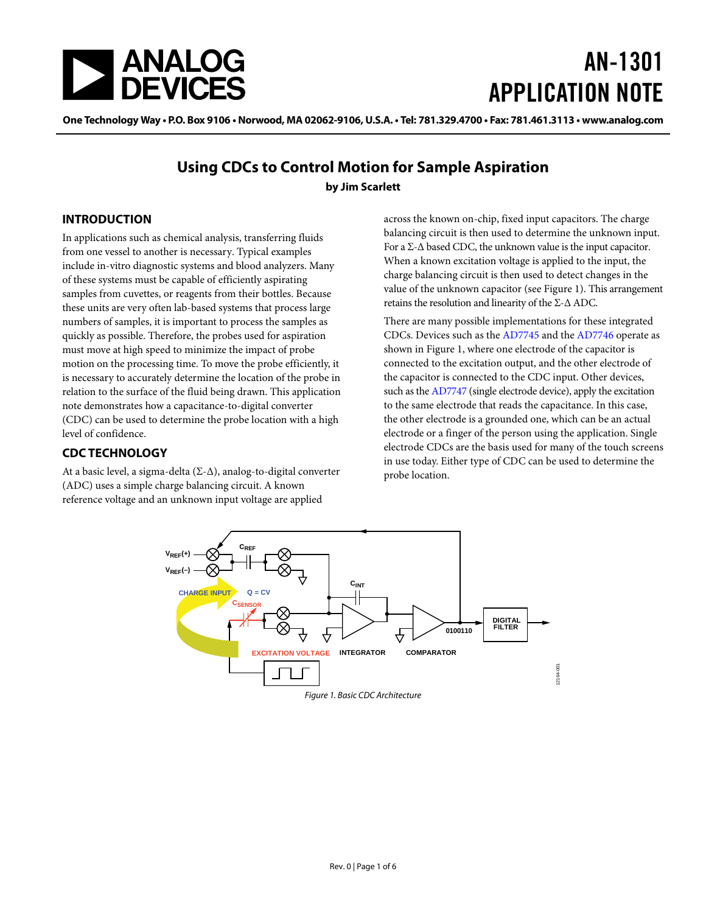

# AN-1301 APPLICATION NOTE

One Technology Way • P.O. Box 9106 • Norwood, MA 02062-9106, U.S.A. • Tel: 781.329.4700 • Fax: 781.461.3113 • www.analog.com

### **Using CDCs to Control Motion for Sample Aspiration by Jim Scarlett**

#### <span id="page-0-1"></span>**INTRODUCTION**

In applications such as chemical analysis, transferring fluids from one vessel to another is necessary. Typical examples include in-vitro diagnostic systems and blood analyzers. Many of these systems must be capable of efficiently aspirating samples from cuvettes, or reagents from their bottles. Because these units are very often lab-based systems that process large numbers of samples, it is important to process the samples as quickly as possible. Therefore, the probes used for aspiration must move at high speed to minimize the impact of probe motion on the processing time. To move the probe efficiently, it is necessary to accurately determine the location of the probe in relation to the surface of the fluid being drawn. This application note demonstrates how a capacitance-to-digital converter (CDC) can be used to determine the probe location with a high level of confidence.

#### <span id="page-0-2"></span>**CDC TECHNOLOGY**

At a basic level, a sigma-delta  $(\Sigma-\Delta)$ , analog-to-digital converter (ADC) uses a simple charge balancing circuit. A known reference voltage and an unknown input voltage are applied

across the known on-chip, fixed input capacitors. The charge balancing circuit is then used to determine the unknown input. For a Σ-Δ based CDC, the unknown value is the input capacitor. When a known excitation voltage is applied to the input, the charge balancing circuit is then used to detect changes in the value of the unknown capacitor (see [Figure 1\)](#page-0-0). This arrangement retains the resolution and linearity of the Σ-Δ ADC.

There are many possible implementations for these integrated CDCs. Devices such as th[e AD7745 a](http://www.analog.com/AD7745?doc=AN-1301.pdf)nd the [AD7746 o](http://www.analog.com/AD7746?doc=AN-1301.pdf)perate as shown in [Figure 1,](#page-0-0) where one electrode of the capacitor is connected to the excitation output, and the other electrode of the capacitor is connected to the CDC input. Other devices, such as th[e AD7747 \(](http://www.analog.com/AD7747?doc=AN-1301.pdf)single electrode device), apply the excitation to the same electrode that reads the capacitance. In this case, the other electrode is a grounded one, which can be an actual electrode or a finger of the person using the application. Single electrode CDCs are the basis used for many of the touch screens in use today. Either type of CDC can be used to determine the probe location.

<span id="page-0-0"></span>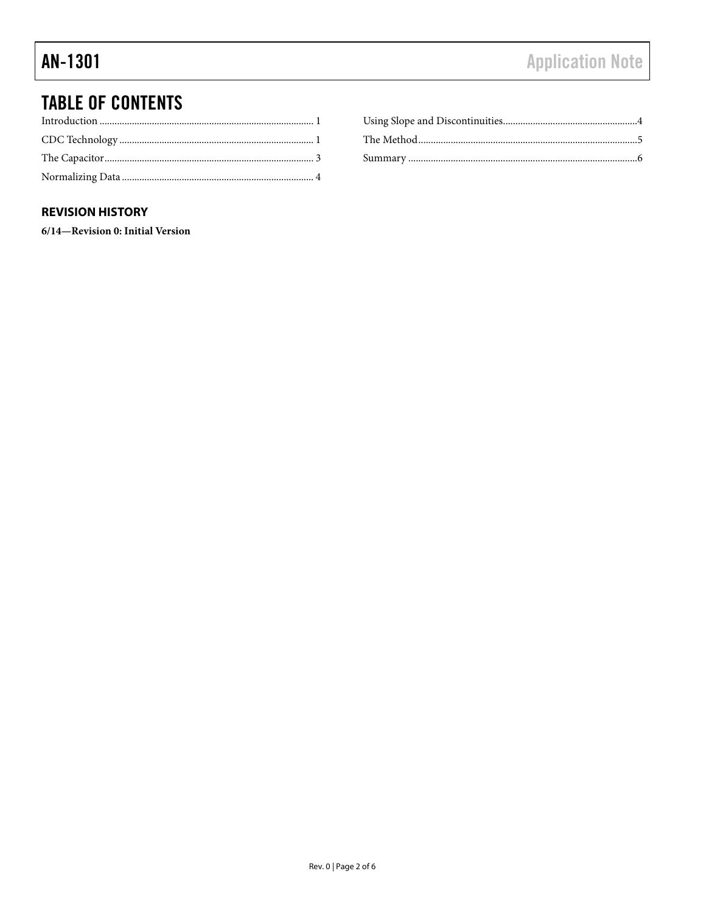## **TABLE OF CONTENTS**

#### **REVISION HISTORY**

6/14-Revision 0: Initial Version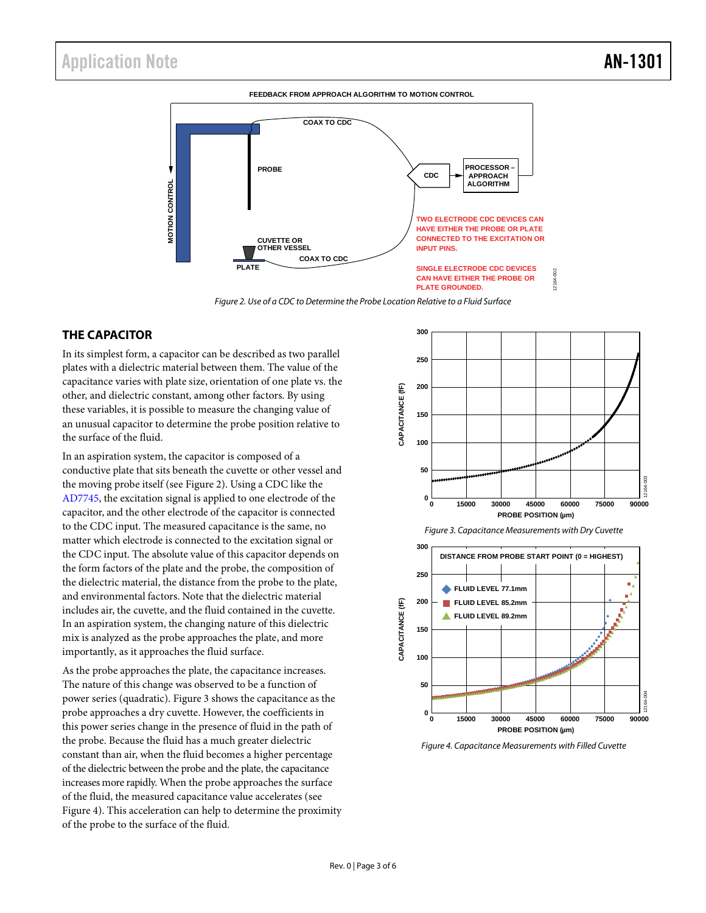

*Figure 2. Use of a CDC to Determine the Probe Location Relative to a Fluid Surface*

#### <span id="page-2-1"></span><span id="page-2-0"></span>**THE CAPACITOR**

In its simplest form, a capacitor can be described as two parallel plates with a dielectric material between them. The value of the capacitance varies with plate size, orientation of one plate vs. the other, and dielectric constant, among other factors. By using these variables, it is possible to measure the changing value of an unusual capacitor to determine the probe position relative to the surface of the fluid.

In an aspiration system, the capacitor is composed of a conductive plate that sits beneath the cuvette or other vessel and the moving probe itself (see [Figure 2\)](#page-2-1). Using a CDC like the [AD7745,](http://www.analog.com/AD7745?doc=AN-1301.pdf) the excitation signal is applied to one electrode of the capacitor, and the other electrode of the capacitor is connected to the CDC input. The measured capacitance is the same, no matter which electrode is connected to the excitation signal or the CDC input. The absolute value of this capacitor depends on the form factors of the plate and the probe, the composition of the dielectric material, the distance from the probe to the plate, and environmental factors. Note that the dielectric material includes air, the cuvette, and the fluid contained in the cuvette. In an aspiration system, the changing nature of this dielectric mix is analyzed as the probe approaches the plate, and more importantly, as it approaches the fluid surface.

As the probe approaches the plate, the capacitance increases. The nature of this change was observed to be a function of power series (quadratic)[. Figure 3](#page-2-2) shows the capacitance as the probe approaches a dry cuvette. However, the coefficients in this power series change in the presence of fluid in the path of the probe. Because the fluid has a much greater dielectric constant than air, when the fluid becomes a higher percentage of the dielectric between the probe and the plate, the capacitance increases more rapidly. When the probe approaches the surface of the fluid, the measured capacitance value accelerates (see [Figure 4\)](#page-2-3). This acceleration can help to determine the proximity of the probe to the surface of the fluid.



12164-002

<span id="page-2-2"></span>

<span id="page-2-3"></span>*Figure 4. Capacitance Measurements with Filled Cuvette*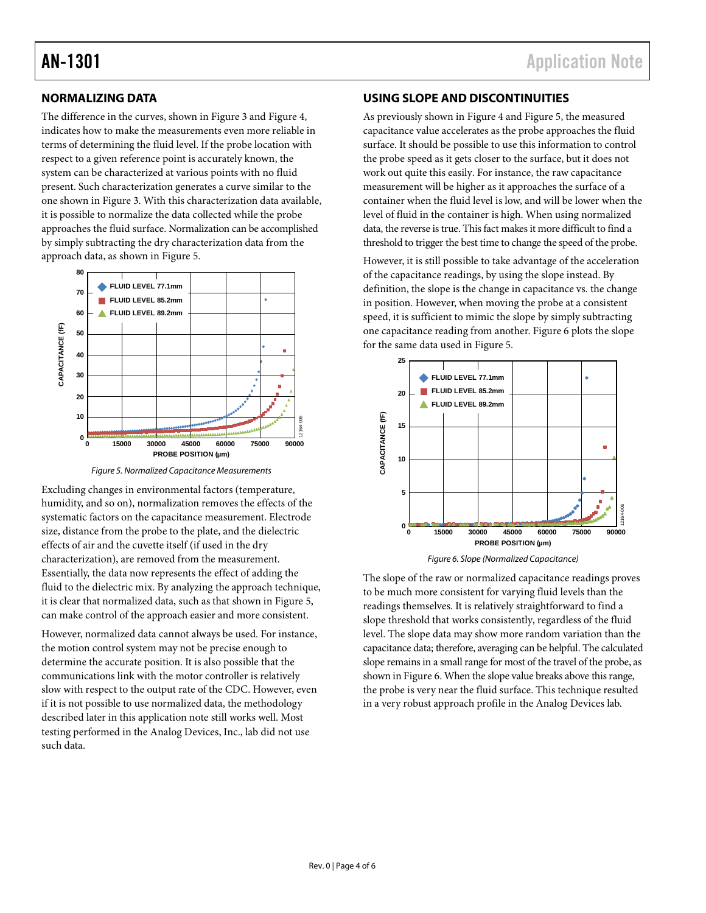#### <span id="page-3-0"></span>**NORMALIZING DATA**

The difference in the curves, shown i[n Figure 3](#page-2-2) and [Figure 4,](#page-2-3) indicates how to make the measurements even more reliable in terms of determining the fluid level. If the probe location with respect to a given reference point is accurately known, the system can be characterized at various points with no fluid present. Such characterization generates a curve similar to the one shown in [Figure 3.](#page-2-2) With this characterization data available, it is possible to normalize the data collected while the probe approaches the fluid surface. Normalization can be accomplished by simply subtracting the dry characterization data from the approach data, as shown i[n Figure 5.](#page-3-2)



*Figure 5. Normalized Capacitance Measurements*

<span id="page-3-2"></span>Excluding changes in environmental factors (temperature, humidity, and so on), normalization removes the effects of the systematic factors on the capacitance measurement. Electrode size, distance from the probe to the plate, and the dielectric effects of air and the cuvette itself (if used in the dry characterization), are removed from the measurement. Essentially, the data now represents the effect of adding the fluid to the dielectric mix. By analyzing the approach technique, it is clear that normalized data, such as that shown i[n Figure 5,](#page-3-2) can make control of the approach easier and more consistent.

However, normalized data cannot always be used. For instance, the motion control system may not be precise enough to determine the accurate position. It is also possible that the communications link with the motor controller is relatively slow with respect to the output rate of the CDC. However, even if it is not possible to use normalized data, the methodology described later in this application note still works well. Most testing performed in the Analog Devices, Inc., lab did not use such data.

#### <span id="page-3-1"></span>**USING SLOPE AND DISCONTINUITIES**

As previously shown i[n Figure 4](#page-2-3) and [Figure 5,](#page-3-2) the measured capacitance value accelerates as the probe approaches the fluid surface. It should be possible to use this information to control the probe speed as it gets closer to the surface, but it does not work out quite this easily. For instance, the raw capacitance measurement will be higher as it approaches the surface of a container when the fluid level is low, and will be lower when the level of fluid in the container is high. When using normalized data, the reverse is true. This fact makes it more difficult to find a threshold to trigger the best time to change the speed of the probe.

However, it is still possible to take advantage of the acceleration of the capacitance readings, by using the slope instead. By definition, the slope is the change in capacitance vs. the change in position. However, when moving the probe at a consistent speed, it is sufficient to mimic the slope by simply subtracting one capacitance reading from another. [Figure 6](#page-3-3) plots the slope for the same data used in [Figure 5.](#page-3-2)



*Figure 6. Slope (Normalized Capacitance)*

<span id="page-3-3"></span>The slope of the raw or normalized capacitance readings proves to be much more consistent for varying fluid levels than the readings themselves. It is relatively straightforward to find a slope threshold that works consistently, regardless of the fluid level. The slope data may show more random variation than the capacitance data; therefore, averaging can be helpful. The calculated slope remains in a small range for most of the travel of the probe, as shown i[n Figure 6.](#page-3-3) When the slope value breaks above this range, the probe is very near the fluid surface. This technique resulted in a very robust approach profile in the Analog Devices lab.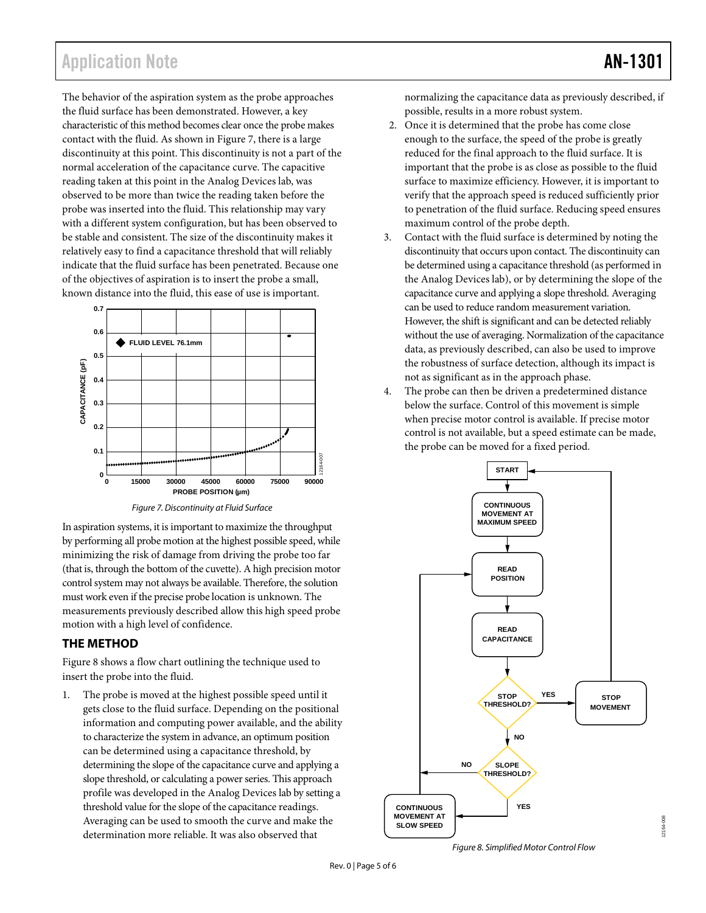### Application Note **AN-1301**

The behavior of the aspiration system as the probe approaches the fluid surface has been demonstrated. However, a key characteristic of this method becomes clear once the probe makes contact with the fluid. As shown i[n Figure 7,](#page-4-1) there is a large discontinuity at this point. This discontinuity is not a part of the normal acceleration of the capacitance curve. The capacitive reading taken at this point in the Analog Devices lab, was observed to be more than twice the reading taken before the probe was inserted into the fluid. This relationship may vary with a different system configuration, but has been observed to be stable and consistent. The size of the discontinuity makes it relatively easy to find a capacitance threshold that will reliably indicate that the fluid surface has been penetrated. Because one of the objectives of aspiration is to insert the probe a small, known distance into the fluid, this ease of use is important.



*Figure 7. Discontinuity at Fluid Surface*

<span id="page-4-1"></span>In aspiration systems, it is important to maximize the throughput by performing all probe motion at the highest possible speed, while minimizing the risk of damage from driving the probe too far (that is, through the bottom of the cuvette). A high precision motor control system may not always be available. Therefore, the solution must work even if the precise probe location is unknown. The measurements previously described allow this high speed probe motion with a high level of confidence.

#### <span id="page-4-0"></span>**THE METHOD**

[Figure 8](#page-4-2) shows a flow chart outlining the technique used to insert the probe into the fluid.

1. The probe is moved at the highest possible speed until it gets close to the fluid surface. Depending on the positional information and computing power available, and the ability to characterize the system in advance, an optimum position can be determined using a capacitance threshold, by determining the slope of the capacitance curve and applying a slope threshold, or calculating a power series. This approach profile was developed in the Analog Devices lab by setting a threshold value for the slope of the capacitance readings. Averaging can be used to smooth the curve and make the determination more reliable. It was also observed that

normalizing the capacitance data as previously described, if possible, results in a more robust system.

- 2. Once it is determined that the probe has come close enough to the surface, the speed of the probe is greatly reduced for the final approach to the fluid surface. It is important that the probe is as close as possible to the fluid surface to maximize efficiency. However, it is important to verify that the approach speed is reduced sufficiently prior to penetration of the fluid surface. Reducing speed ensures maximum control of the probe depth.
- 3. Contact with the fluid surface is determined by noting the discontinuity that occurs upon contact. The discontinuity can be determined using a capacitance threshold (as performed in the Analog Devices lab), or by determining the slope of the capacitance curve and applying a slope threshold. Averaging can be used to reduce random measurement variation. However, the shift is significant and can be detected reliably without the use of averaging. Normalization of the capacitance data, as previously described, can also be used to improve the robustness of surface detection, although its impact is not as significant as in the approach phase.
- 4. The probe can then be driven a predetermined distance below the surface. Control of this movement is simple when precise motor control is available. If precise motor control is not available, but a speed estimate can be made, the probe can be moved for a fixed period.



12164-008

<span id="page-4-2"></span>2164-